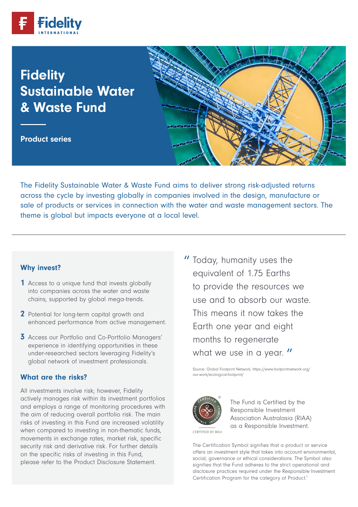

# **Fidelity** Sustainable Water & Waste Fund

Product series



The Fidelity Sustainable Water & Waste Fund aims to deliver strong risk-adjusted returns across the cycle by investing globally in companies involved in the design, manufacture or sale of products or services in connection with the water and waste management sectors. The theme is global but impacts everyone at a local level.

### Why invest?

- 1 Access to a unique fund that invests globally into companies across the water and waste chains, supported by global mega-trends.
- 2 Potential for long-term capital growth and enhanced performance from active management.
- 3 Access our Portfolio and Co-Portfolio Managers' experience in identifying opportunities in these under-researched sectors leveraging Fidelity's global network of investment professionals.

#### What are the risks?

All investments involve risk; however, Fidelity actively manages risk within its investment portfolios and employs a range of monitoring procedures with the aim of reducing overall portfolio risk. The main risks of investing in this Fund are increased volatility when compared to investing in non-thematic funds, movements in exchange rates, market risk, specific security risk and derivative risk. For further details on the specific risks of investing in this Fund, please refer to the Product Disclosure Statement.

" Today, humanity uses the equivalent of 1.75 Earths to provide the resources we use and to absorb our waste. This means it now takes the Earth one year and eight months to regenerate what we use in a year. "

 Source: Global Footprint Network, https://www.footprintnetwork.org/ our-work/ecological-footprint/



The Fund is Certified by the Responsible Investment Association Australasia (RIAA) as a Responsible Investment.

CERTIFIED BY RIAA

The Certification Symbol signifies that a product or service offers an investment style that takes into account environmental, social, governance or ethical considerations. The Symbol also signifies that the Fund adheres to the strict operational and disclosure practices required under the Responsible Investment Certification Program for the category of Product.<sup>1</sup>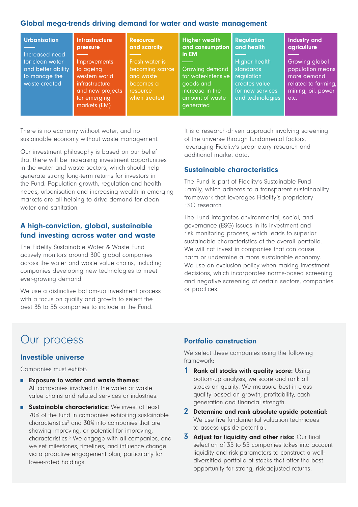### Global mega-trends driving demand for water and waste management

| <b>Urbanisation</b><br>Increased need                                   | <b>Infrastructure</b><br>pressure                                                                                       | <b>Resource</b><br>and scarcity                                                         | <b>Higher wealth</b><br>and consumption<br>in EM                                                      | <b>Regulation</b><br>and health                                                                          | <b>Industry and</b><br>agriculture                                                                     |
|-------------------------------------------------------------------------|-------------------------------------------------------------------------------------------------------------------------|-----------------------------------------------------------------------------------------|-------------------------------------------------------------------------------------------------------|----------------------------------------------------------------------------------------------------------|--------------------------------------------------------------------------------------------------------|
| for clean water<br>and better ability<br>to manage the<br>waste created | <b>Improvements</b><br>to ageing<br>western world<br>infrastructure<br>and new projects<br>for emerging<br>markets (EM) | Fresh water is<br>becoming scarce<br>and waste<br>becomes a<br>resource<br>when treated | Growing demand<br>for water-intensive<br>goods and<br>increase in the<br>amount of waste<br>generated | <b>Higher health</b><br>standards<br>requlation<br>creates value<br>for new services<br>and technologies | Growing global<br>population means<br>more demand<br>related to farming,<br>mining, oil, power<br>etc. |

There is no economy without water, and no sustainable economy without waste management.

Our investment philosophy is based on our belief that there will be increasing investment opportunities in the water and waste sectors, which should help generate strong long-term returns for investors in the Fund. Population growth, regulation and health needs, urbanisation and increasing wealth in emerging markets are all helping to drive demand for clean water and sanitation.

## A high-conviction, global, sustainable fund investing across water and waste

The Fidelity Sustainable Water & Waste Fund actively monitors around 300 global companies across the water and waste value chains, including companies developing new technologies to meet ever-growing demand.

We use a distinctive bottom-up investment process with a focus on quality and growth to select the best 35 to 55 companies to include in the Fund.

It is a research-driven approach involving screening of the universe through fundamental factors, leveraging Fidelity's proprietary research and additional market data.

### Sustainable characteristics

The Fund is part of Fidelity's Sustainable Fund Family, which adheres to a transparent sustainability framework that leverages Fidelity's proprietary ESG research.

The Fund integrates environmental, social, and governance (ESG) issues in its investment and risk monitoring process, which leads to superior sustainable characteristics of the overall portfolio. We will not invest in companies that can cause harm or undermine a more sustainable economy. We use an exclusion policy when making investment decisions, which incorporates norms-based screening and negative screening of certain sectors, companies or practices.

## Our process

### Investible universe

Companies must exhibit:

- Exposure to water and waste themes: All companies involved in the water or waste value chains and related services or industries.
- **Bustainable characteristics:** We invest at least 70% of the fund in companies exhibiting sustainable characteristics<sup>2</sup> and 30% into companies that are showing improving, or potential for improving, characteristics.3 We engage with all companies, and we set milestones, timelines, and influence change via a proactive engagement plan, particularly for lower-rated holdings.

## Portfolio construction

We select these companies using the following framework:

- 1 Rank all stocks with quality score: Using bottom-up analysis, we score and rank all stocks on quality. We measure best-in-class quality based on growth, profitability, cash generation and financial strength.
- 2 Determine and rank absolute upside potential: We use five fundamental valuation techniques to assess upside potential.
- $3$  Adjust for liquidity and other risks: Our final selection of 35 to 55 companies takes into account liquidity and risk parameters to construct a welldiversified portfolio of stocks that offer the best opportunity for strong, risk-adjusted returns.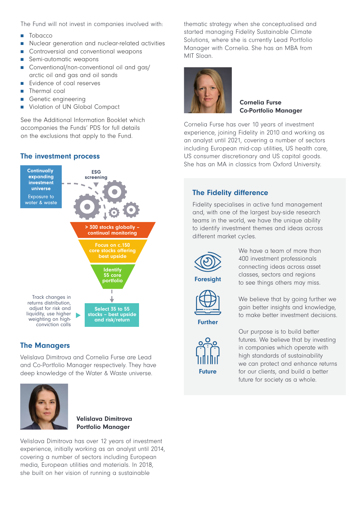The Fund will not invest in companies involved with:

- Tobacco
- Nuclear generation and nuclear-related activities
- Controversial and conventional weapons
- Semi-automatic weapons
- Conventional/non-conventional oil and gas/ arctic oil and gas and oil sands
- Evidence of coal reserves
- Thermal coal
- Genetic engineering
- Violation of UN Global Compact

See the Additional Information Booklet which accompanies the Funds' PDS for full details on the exclusions that apply to the Fund.

## The investment process



## The Managers

Velislava Dimitrova and Cornelia Furse are Lead and Co-Portfolio Manager respectively. They have deep knowledge of the Water & Waste universe.



#### Velislava Dimitrova Portfolio Manager

Velislava Dimitrova has over 12 years of investment experience, initially working as an analyst until 2014, covering a number of sectors including European media, European utilities and materials. In 2018, she built on her vision of running a sustainable

thematic strategy when she conceptualised and started managing Fidelity Sustainable Climate Solutions, where she is currently Lead Portfolio Manager with Cornelia. She has an MBA from MIT Sloan.



Cornelia Furse Co-Portfolio Manager

Cornelia Furse has over 10 years of investment experience, joining Fidelity in 2010 and working as an analyst until 2021, covering a number of sectors including European mid-cap utilities, US health care, US consumer discretionary and US capital goods. She has an MA in classics from Oxford University.

## The Fidelity difference

Fidelity specialises in active fund management and, with one of the largest buy-side research teams in the world, we have the unique ability to identify investment themes and ideas across different market cycles.



We have a team of more than 400 investment professionals connecting ideas across asset classes, sectors and regions to see things others may miss.



Foresight

We believe that by going further we gain better insights and knowledge, to make better investment decisions.

Further



Our purpose is to build better futures. We believe that by investing in companies which operate with high standards of sustainability we can protect and enhance returns for our clients, and build a better future for society as a whole.